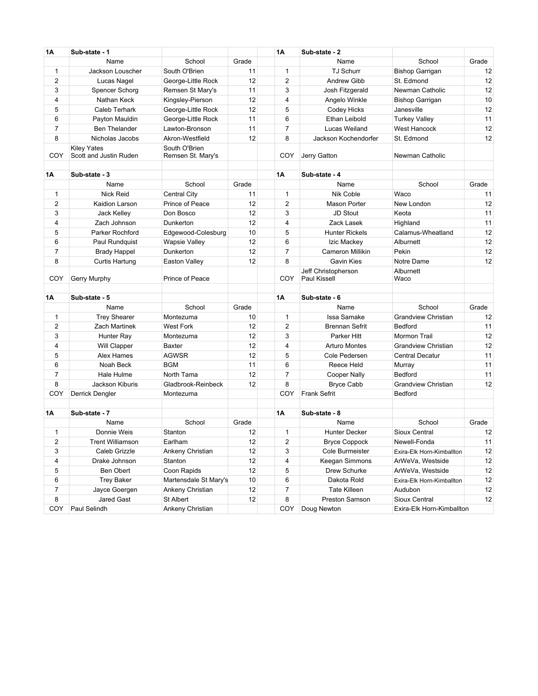| 1A             | Sub-state - 1          |                       |       | <b>1A</b>      | Sub-state - 2                              |                            |       |
|----------------|------------------------|-----------------------|-------|----------------|--------------------------------------------|----------------------------|-------|
|                | Name                   | School                | Grade |                | Name                                       | School                     | Grade |
| 1              | Jackson Louscher       | South O'Brien         | 11    | 1              | TJ Schurr                                  | <b>Bishop Garrigan</b>     | 12    |
| $\overline{2}$ | Lucas Nagel            | George-Little Rock    | 12    | $\overline{2}$ | <b>Andrew Gibb</b>                         | St. Edmond                 | 12    |
| 3              | Spencer Schorg         | Remsen St Mary's      | 11    | 3              | Josh Fitzgerald                            | Newman Catholic            | 12    |
| 4              | Nathan Keck            | Kingsley-Pierson      | 12    | 4              | Angelo Winkle                              | <b>Bishop Garrigan</b>     | 10    |
| 5              | Caleb Terhark          | George-Little Rock    | 12    | 5              | Codey Hicks                                | Janesville                 | 12    |
| 6              | Payton Mauldin         | George-Little Rock    | 11    | 6              | Ethan Leibold                              | <b>Turkey Valley</b>       | 11    |
| 7              | <b>Ben Thelander</b>   | Lawton-Bronson        | 11    | $\overline{7}$ | Lucas Weiland                              | <b>West Hancock</b>        | 12    |
| 8              | Nicholas Jacobs        | Akron-Westfield       | 12    | 8              | Jackson Kochendorfer                       | St. Edmond                 | 12    |
|                | <b>Kiley Yates</b>     | South O'Brien         |       |                |                                            |                            |       |
| COY            | Scott and Justin Ruden | Remsen St. Mary's     |       | COY            | Jerry Gatton                               | Newman Catholic            |       |
| 1Α             | Sub-state - 3          |                       |       | <b>1A</b>      | Sub-state - 4                              |                            |       |
|                | Name                   | School                | Grade |                | Name                                       | School                     | Grade |
| 1              | <b>Nick Reid</b>       | <b>Central City</b>   | 11    | 1              | Nik Coble                                  | Waco                       | 11    |
| $\overline{2}$ | Kaidion Larson         | Prince of Peace       | 12    | $\overline{2}$ | Mason Porter                               | New London                 | 12    |
| 3              | Jack Kelley            | Don Bosco             | 12    | 3              | JD Stout                                   | Keota                      | 11    |
| 4              | Zach Johnson           | Dunkerton             | 12    | 4              | Zack Lasek                                 | Highland                   | 11    |
| 5              | Parker Rochford        | Edgewood-Colesburg    | 10    | 5              | <b>Hunter Rickels</b>                      | Calamus-Wheatland          | 12    |
| 6              | Paul Rundquist         | <b>Wapsie Valley</b>  | 12    | 6              | Izic Mackey                                | Alburnett                  | 12    |
| 7              | <b>Brady Happel</b>    | Dunkerton             | 12    | 7              | Cameron Millikin                           | Pekin                      | 12    |
| 8              | Curtis Hartung         | Easton Valley         | 12    | 8              | <b>Gavin Kies</b>                          | Notre Dame                 | 12    |
| COY            | Gerry Murphy           | Prince of Peace       |       | COY            | Jeff Christopherson<br><b>Paul Kissell</b> | Alburnett<br>Waco          |       |
|                |                        |                       |       |                |                                            |                            |       |
| 1Α             | Sub-state - 5          |                       |       | <b>1A</b>      | Sub-state - 6                              |                            |       |
|                | Name                   | School                | Grade |                | Name                                       | School                     | Grade |
| $\mathbf{1}$   | <b>Trey Shearer</b>    | Montezuma             | 10    | $\mathbf{1}$   | Issa Samake                                | <b>Grandview Christian</b> | 12    |
| 2              | <b>Zach Martinek</b>   | <b>West Fork</b>      | 12    | $\overline{2}$ | <b>Brennan Sefrit</b>                      | Bedford                    | 11    |
| 3              | Hunter Ray             | Montezuma             | 12    | 3              | Parker Hitt                                | <b>Mormon Trail</b>        | 12    |
| 4              | Will Clapper           | Baxter                | 12    | $\overline{4}$ | <b>Arturo Montes</b>                       | Grandview Christian        | 12    |
| 5              | Alex Hames             | <b>AGWSR</b>          | 12    | 5              | Cole Pedersen                              | <b>Central Decatur</b>     | 11    |
| 6              | Noah Beck              | <b>BGM</b>            | 11    | 6              | Reece Held                                 | Murray                     | 11    |
| $\overline{7}$ | Hale Hulme             | North Tama            | 12    | $\overline{7}$ | Cooper Nally                               | Bedford                    | 11    |
| 8              | Jackson Kiburis        | Gladbrook-Reinbeck    | 12    | 8              | <b>Bryce Cabb</b>                          | <b>Grandview Christian</b> | 12    |
| COY            | Derrick Dengler        | Montezuma             |       | COY            | <b>Frank Sefrit</b>                        | Bedford                    |       |
| 1Α             | Sub-state - 7          |                       |       | 1Α             | Sub-state - 8                              |                            |       |
|                | Name                   | School                | Grade |                | Name                                       | School                     | Grade |
| 1              | Donnie Weis            | Stanton               | 12    | 1              | <b>Hunter Decker</b>                       | Sioux Central              | 12    |
| 2              | Trent Williamson       | Earlham               | 12    | 2              | <b>Bryce Coppock</b>                       | Newell-Fonda               | 11    |
| 3              | Caleb Grizzle          | Ankeny Christian      | 12    | 3              | Cole Burmeister                            | Exira-Elk Horn-Kimballton  | 12    |
| 4              | Drake Johnson          | Stanton               | 12    | 4              | Keegan Simmons                             | ArWeVa, Westside           | 12    |
| 5              | Ben Obert              | Coon Rapids           | 12    | 5              | Drew Schurke                               | ArWeVa, Westside           | 12    |
| 6              | <b>Trey Baker</b>      | Martensdale St Mary's | $10$  | 6              | Dakota Rold                                | Exira-Elk Horn-Kimballton  | 12    |
| 7              | Jayce Goergen          | Ankeny Christian      | 12    | 7              | <b>Tate Killeen</b>                        | Audubon                    | 12    |
| 8              | Jared Gast             | St Albert             | 12    | 8              | Preston Samson                             | Sioux Central              | 12    |
| COY            | Paul Selindh           | Ankeny Christian      |       | COY            | Doug Newton                                | Exira-Elk Horn-Kimballton  |       |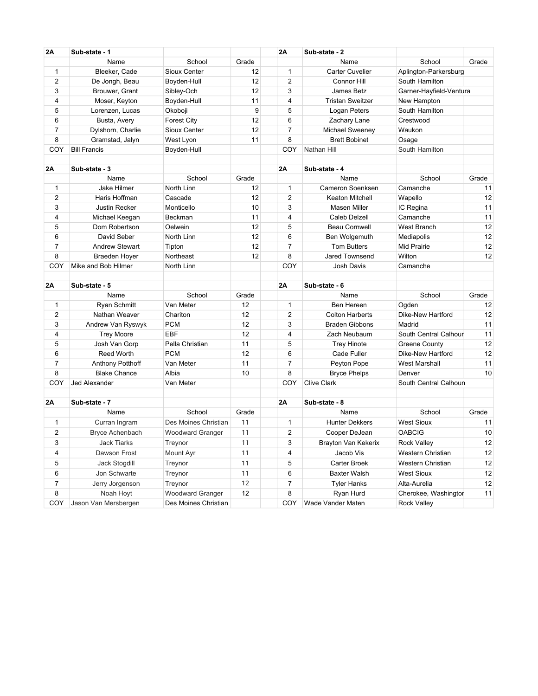| 2A                  | Sub-state - 1           |                         |       | 2A             | Sub-state - 2           |                                      |          |
|---------------------|-------------------------|-------------------------|-------|----------------|-------------------------|--------------------------------------|----------|
|                     | Name                    | School                  | Grade |                | Name                    | School                               | Grade    |
| 1                   | Bleeker, Cade           | Sioux Center            | 12    | $\mathbf{1}$   | <b>Carter Cuvelier</b>  | Aplington-Parkersburg                |          |
| $\overline{2}$      | De Jongh, Beau          | Boyden-Hull             | 12    | 2              | Connor Hill             | South Hamilton                       |          |
| 3                   | Brouwer, Grant          | Sibley-Och              | 12    | 3              | James Betz              | Garner-Hayfield-Ventura              |          |
| 4                   | Moser, Keyton           | Boyden-Hull             | 11    | $\overline{4}$ | <b>Tristan Sweitzer</b> | New Hampton                          |          |
| 5                   | Lorenzen, Lucas         | Okoboji                 | 9     | 5              | Logan Peters            | South Hamilton                       |          |
| 6                   | Busta, Avery            | <b>Forest City</b>      | 12    | 6              | Zachary Lane            | Crestwood                            |          |
| $\overline{7}$      | Dylshorn, Charlie       | Sioux Center            | 12    | $\overline{7}$ | Michael Sweeney         | Waukon                               |          |
| 8                   | Gramstad, Jalyn         | West Lyon               | 11    | 8              | <b>Brett Bobinet</b>    | Osage                                |          |
| COY                 | <b>Bill Francis</b>     | Boyden-Hull             |       | COY            | Nathan Hill             | South Hamilton                       |          |
| 2Α                  | Sub-state - 3           |                         |       | 2A             | Sub-state - 4           |                                      |          |
|                     | Name                    | School                  | Grade |                | Name                    | School                               | Grade    |
| 1                   | Jake Hilmer             | North Linn              | 12    | $\mathbf{1}$   | Cameron Soenksen        | Camanche                             | 11       |
| $\overline{2}$      | Haris Hoffman           | Cascade                 | 12    | 2              | Keaton Mitchell         | Wapello                              | 12       |
| 3                   | Justin Recker           | Monticello              | 10    | 3              | <b>Masen Miller</b>     | IC Regina                            | 11       |
| 4                   | Michael Keegan          | Beckman                 | 11    | 4              | Caleb Delzell           | Camanche                             | 11       |
| 5                   | Dom Robertson           | Oelwein                 | 12    | 5              | <b>Beau Cornwell</b>    | West Branch                          | 12       |
| 6                   | David Seber             | North Linn              | 12    | 6              | Ben Wolgemuth           | Mediapolis                           | 12       |
| $\overline{7}$      | <b>Andrew Stewart</b>   | Tipton                  | 12    | $\overline{7}$ | <b>Tom Butters</b>      | Mid Prairie                          | 12       |
| 8                   | Braeden Hoyer           | Northeast               | 12    | 8              | Jared Townsend          | Wilton                               | 12       |
| COY                 | Mike and Bob Hilmer     | North Linn              |       | COY            | Josh Davis              | Camanche                             |          |
|                     |                         |                         |       |                |                         |                                      |          |
| 2Α                  | Sub-state - 5           |                         |       | 2A             | Sub-state - 6           |                                      |          |
|                     | Name                    | School                  | Grade |                | Name                    | School                               | Grade    |
| 1                   | <b>Ryan Schmitt</b>     | Van Meter               | 12    | $\mathbf{1}$   | Ben Hereen              | Ogden                                | 12       |
| $\overline{2}$      | Nathan Weaver           | Chariton                | 12    | $\overline{2}$ | <b>Colton Harberts</b>  | Dike-New Hartford                    | 12       |
| 3                   | Andrew Van Ryswyk       | <b>PCM</b>              | 12    | 3              | <b>Braden Gibbons</b>   | Madrid                               | 11       |
| 4                   | <b>Trey Moore</b>       | <b>EBF</b>              | 12    | 4              | Zach Neubaum            | South Central Calhour                | 11       |
| 5                   | Josh Van Gorp           | Pella Christian         | 11    | 5              | <b>Trey Hinote</b>      | <b>Greene County</b>                 | 12       |
| 6                   | <b>Reed Worth</b>       | <b>PCM</b>              | 12    | 6              | Cade Fuller             | Dike-New Hartford                    | 12       |
| 7                   | <b>Anthony Potthoff</b> | Van Meter               | 11    | $\overline{7}$ | Peyton Pope             | <b>West Marshall</b>                 | 11       |
| 8                   | <b>Blake Chance</b>     | Albia                   | 10    | 8              | <b>Bryce Phelps</b>     | Denver                               | 10       |
| COY                 | Jed Alexander           | Van Meter               |       | COY            | <b>Clive Clark</b>      | South Central Calhoun                |          |
| 2Α                  | Sub-state - 7           |                         |       | 2A             | Sub-state - 8           |                                      |          |
|                     | Name                    | School                  | Grade |                | Name                    | School                               | Grade    |
| 1                   | Curran Ingram           | Des Moines Christian    | 11    | $\mathbf{1}$   | <b>Hunter Dekkers</b>   | <b>West Sioux</b>                    | 11       |
| $\overline{2}$      | <b>Bryce Achenbach</b>  | <b>Woodward Granger</b> | 11    | $\overline{2}$ | Cooper DeJean           | <b>OABCIG</b>                        | 10       |
| 3                   | Jack Tiarks             | Treynor                 | 11    | 3              | Brayton Van Kekerix     | Rock Valley                          | 12       |
| 4                   | Dawson Frost            | Mount Ayr               | 11    | 4              | Jacob Vis               | Western Christian                    | 12       |
| 5                   | Jack Stogdill           | Treynor                 | 11    | 5              | Carter Broek            | Western Christian                    | 12       |
| 6                   | Jon Schwarte            |                         | 11    |                |                         |                                      |          |
|                     |                         | Treynor                 | 12    | 6              | <b>Baxter Walsh</b>     | West Sioux                           | 12       |
| $\overline{7}$<br>8 | Jerry Jorgenson         | Treynor                 | 12    | 7<br>8         | <b>Tyler Hanks</b>      | Alta-Aurelia<br>Cherokee, Washingtor | 12<br>11 |
|                     | Noah Hoyt               | Woodward Granger        |       |                | Ryan Hurd               |                                      |          |
| COY                 | Jason Van Mersbergen    | Des Moines Christian    |       | COY            | Wade Vander Maten       | Rock Valley                          |          |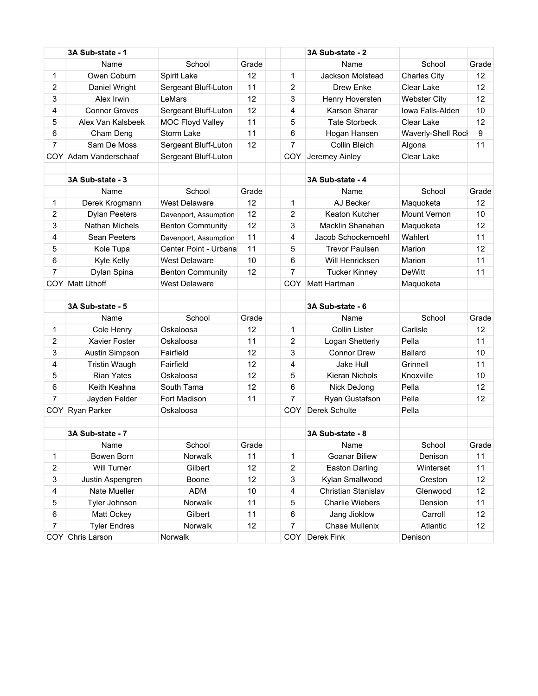|                | 3A Sub-state - 1      |                         |       |                | 3A Sub-state - 2       |                     |       |
|----------------|-----------------------|-------------------------|-------|----------------|------------------------|---------------------|-------|
|                | Name                  | School                  | Grade |                | Name                   | School              | Grade |
| 1              | Owen Coburn           | Spirit Lake             | 12    | 1              | Jackson Molstead       | <b>Charles City</b> | 12    |
| 2              | Daniel Wright         | Sergeant Bluff-Luton    | 11    | 2              | <b>Drew Enke</b>       | Clear Lake          | 12    |
| 3              | Alex Irwin            | I eMars                 | 12    | 3              | Henry Hoversten        | <b>Webster City</b> | 12    |
| 4              | <b>Connor Groves</b>  | Sergeant Bluff-Luton    | 12    | 4              | Karson Sharar          | Iowa Falls-Alden    | 10    |
| 5              | Alex Van Kalsbeek     | MOC Floyd Valley        | 11    | 5              | <b>Tate Storbeck</b>   | Clear Lake          | 12    |
| 6              | Cham Deng             | Storm Lake              | 11    | 6              | Hogan Hansen           | Waverly-Shell Rock  | 9     |
| 7              | Sam De Moss           | Sergeant Bluff-Luton    | 12    | $\overline{7}$ | Collin Bleich          | Algona              | 11    |
|                | COY Adam Vanderschaaf | Sergeant Bluff-Luton    |       | <b>COY</b>     | Jeremey Ainley         | Clear Lake          |       |
|                |                       |                         |       |                |                        |                     |       |
|                | 3A Sub-state - 3      |                         |       |                | 3A Sub-state - 4       |                     |       |
|                | Name                  | School                  | Grade |                | Name                   | School              | Grade |
| 1              | Derek Krogmann        | <b>West Delaware</b>    | 12    | 1              | AJ Becker              | Maquoketa           | 12    |
| 2              | <b>Dylan Peeters</b>  | Davenport, Assumption   | 12    | 2              | Keaton Kutcher         | <b>Mount Vernon</b> | 10    |
| 3              | <b>Nathan Michels</b> | <b>Benton Community</b> | 12    | 3              | Macklin Shanahan       | Maquoketa           | 12    |
| 4              | Sean Peeters          | Davenport, Assumption   | 11    | 4              | Jacob Schockemoehl     | Wahlert             | 11    |
| 5              | Kole Tupa             | Center Point - Urbana   | 11    | 5              | <b>Trevor Paulsen</b>  | Marion              | 12    |
| 6              | Kyle Kelly            | <b>West Delaware</b>    | 10    | 6              | Will Henricksen        | Marion              | 11    |
| 7              | Dylan Spina           | <b>Benton Community</b> | 12    | $\overline{7}$ | <b>Tucker Kinney</b>   | <b>DeWitt</b>       | 11    |
|                | COY Matt Uthoff       | <b>West Delaware</b>    |       | COY            | Matt Hartman           | Maquoketa           |       |
|                |                       |                         |       |                |                        |                     |       |
|                | 3A Sub-state - 5      |                         |       |                | 3A Sub-state - 6       |                     |       |
|                | Name                  | School                  | Grade |                | Name                   | School              | Grade |
| 1              | Cole Henry            | Oskaloosa               | 12    | 1              | <b>Collin Lister</b>   | Carlisle            | 12    |
| 2              | <b>Xavier Foster</b>  | Oskaloosa               | 11    | 2              | Logan Shetterly        | Pella               | 11    |
| 3              | Austin Simpson        | Fairfield               | 12    | 3              | <b>Connor Drew</b>     | <b>Ballard</b>      | 10    |
| 4              | <b>Tristin Waugh</b>  | Fairfield               | 12    | 4              | Jake Hull              | Grinnell            | 11    |
| 5              | <b>Rian Yates</b>     | Oskaloosa               | 12    | 5              | Kieran Nichols         | Knoxville           | 10    |
| 6              | Keith Keahna          | South Tama              | 12    | 6              | Nick DeJong            | Pella               | 12    |
| 7              | Jayden Felder         | Fort Madison            | 11    | 7              | Ryan Gustafson         | Pella               | 12    |
|                | COY Ryan Parker       | Oskaloosa               |       | <b>COY</b>     | Derek Schulte          | Pella               |       |
|                |                       |                         |       |                |                        |                     |       |
|                | 3A Sub-state - 7      |                         |       |                | 3A Sub-state - 8       |                     |       |
|                | Name                  | School                  | Grade |                | Name                   | School              | Grade |
| 1              | Bowen Born            | Norwalk                 | 11    | 1              | <b>Goanar Biliew</b>   | Denison             | 11    |
| $\overline{2}$ | Will Turner           | Gilbert                 | 12    | 2              | <b>Easton Darling</b>  | Winterset           | 11    |
| 3              | Justin Aspengren      | Boone                   | 12    | 3              | Kylan Smallwood        | Creston             | 12    |
| 4              | Nate Mueller          | <b>ADM</b>              | 10    | 4              | Christian Stanislav    | Glenwood            | 12    |
| 5              | Tyler Johnson         | Norwalk                 | 11    | 5              | <b>Charlie Wiebers</b> | Dension             | 11    |
| 6              | Matt Ockey            | Gilbert                 | 11    | 6              | Jang Jioklow           | Carroll             | 12    |
| 7              | <b>Tyler Endres</b>   | Norwalk                 | 12    | 7              | Chase Mullenix         | Atlantic            | 12    |
|                | COY Chris Larson      | Norwalk                 |       | <b>COY</b>     | Derek Fink             | Denison             |       |